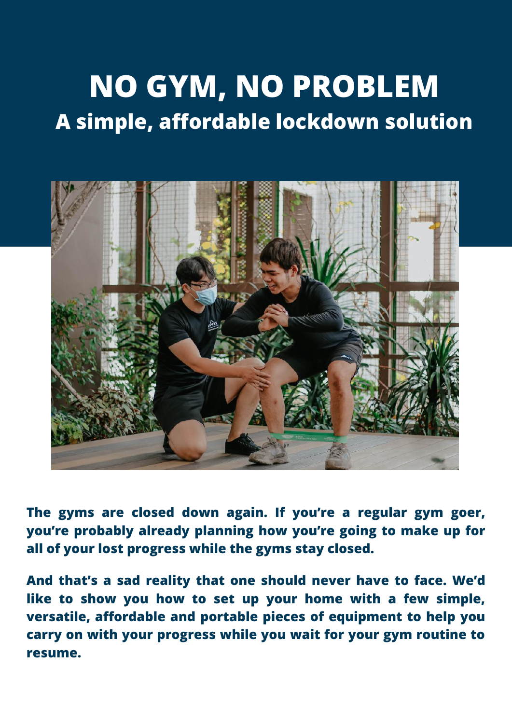# **NO GYM, NO PROBLEM A simple, affordable lockdown solution**



**The gyms are closed down again. If you're a regular gym goer, you're probably already planning how you're going to make up for all of your lost progress while the gyms stay closed.**

**And that's a sad reality that one should never have to face. We'd like to show you how to set up your home with a few simple, versatile, affordable and portable pieces of equipment to help you carry on with your progress while you wait for your gym routine to resume.**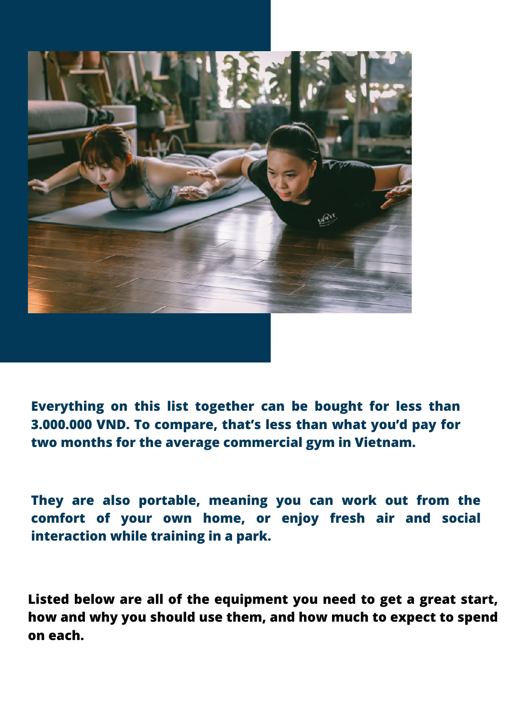

**Everything on this list together can be bought for less than 3.000.000 VND. To compare, that's less than what you'd pay for two months for the average commercial gym in Vietnam.**

**They are also portable, meaning you can work out from the comfort of your own home, or enjoy fresh air and social interaction while training in a park.**

**Listed below are all of the equipment you need to get a great start, how and why you should use them, and how much to expect to spend on each.**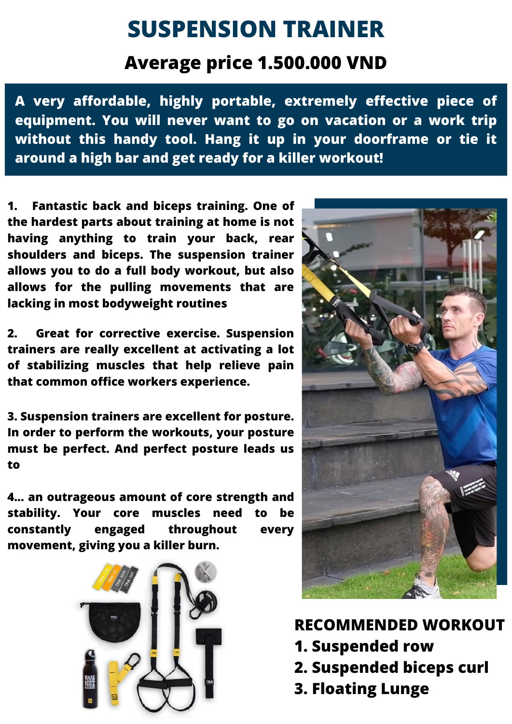# **SUSPENSION TRAINER**

### **Average price 1.500.000 VND**

**A very affordable, highly portable, extremely effective piece of equipment. You will never want to go on vacation or a work trip without this handy tool. Hang it up in your doorframe or tie it around a high bar and get ready for a killer workout!**

**1. Fantastic back and biceps training. One of the hardest parts about training at home is not having anything to train your back, rear shoulders and biceps. The suspension trainer allows you to do a full body workout, but also allows for the pulling movements that are lacking in most bodyweight routines**

**2. Great for corrective exercise. Suspension trainers are really excellent at activating a lot of stabilizing muscles that help relieve pain that common office workers experience.**

**3. Suspension trainers are excellent for posture. In order to perform the workouts, your posture must be perfect. And perfect posture leads us to**

**4... an outrageous amount of core strength and stability. Your core muscles need to be constantly engaged throughout every movement, giving you a killer burn.**





#### **RECOMMENDED WORKOUT**

- **1. Suspended row**
- **2. Suspended biceps curl**
- **3. Floating Lunge**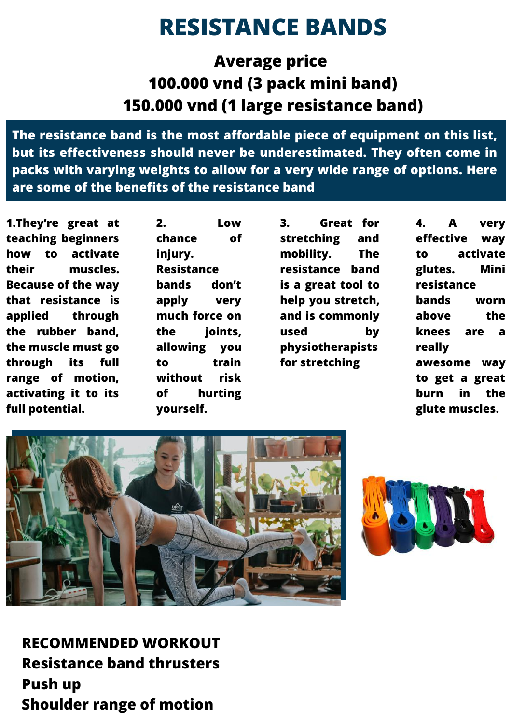# **RESISTANCE BANDS**

**Average price 100.000 vnd (3 pack mini band) 150.000 vnd (1 large resistance band)**

**The resistance band is the most affordable piece of equipment on this list, but its effectiveness should never be underestimated. They often come in packs with varying weights to allow for a very wide range of options. Here are some of the benefits of the resistance band**

**1.They're great at teaching beginners how to activate their muscles. Because of the way that resistance is applied through the rubber band, the muscle must go through its full range of motion, activating it to its full potential.**

**2. Low chance of injury. Resistance bands don't apply very much force on the joints, allowing you to train without risk of hurting yourself.**

**3. Great for stretching and mobility. The resistance band is a great tool to help you stretch, and is commonly used by physiotherapists for stretching**

**4. A very effective way to activate glutes. Mini resistance bands worn above the knees are a really awesome way to get a great burn in the glute muscles.**





**RECOMMENDED WORKOUT Resistance band thrusters Push up Shoulder range of motion**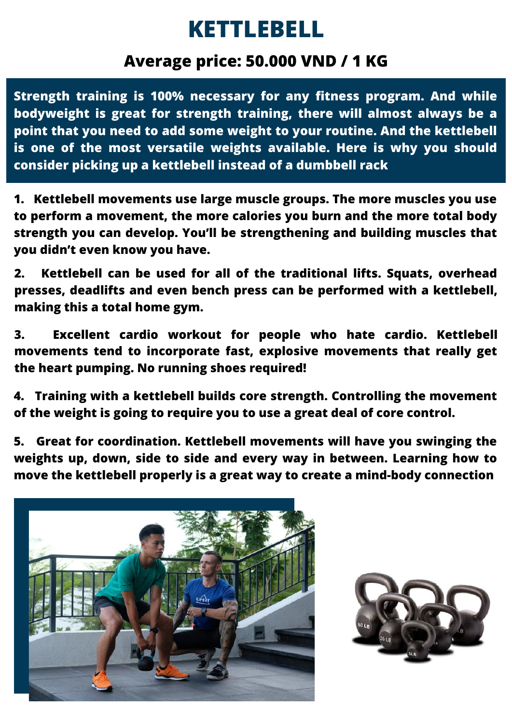# **KETTLEBELL**

#### **Average price: 50.000 VND / 1 KG**

**Strength training is 100% necessary for any fitness program. And while bodyweight is great for strength training, there will almost always be a point that you need to add some weight to your routine. And the kettlebell is one of the most versatile weights available. Here is why you should consider picking up a kettlebell instead of a dumbbell rack**

**1. Kettlebell movements use large muscle groups. The more muscles you use to perform a movement, the more calories you burn and the more total body strength you can develop. You'll be strengthening and building muscles that you didn't even know you have.**

**2. Kettlebell can be used for all of the traditional lifts. Squats, overhead presses, deadlifts and even bench press can be performed with a kettlebell, making this a total home gym.**

**3. Excellent cardio workout for people who hate cardio. Kettlebell movements tend to incorporate fast, explosive movements that really get the heart pumping. No running shoes required!**

**4. Training with a kettlebell builds core strength. Controlling the movement of the weight is going to require you to use a great deal of core control.**

**5. Great for coordination. Kettlebell movements will have you swinging the weights up, down, side to side and every way in between. Learning how to move the kettlebell properly is a great way to create a mind-body connection**